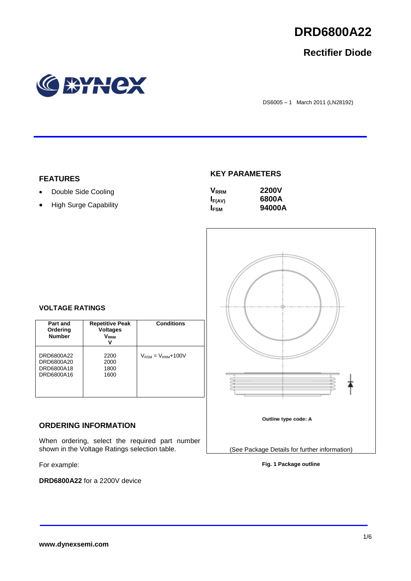

## **Rectifier Diode**



DS6005 – 1 March 2011 (LN28192)

## **FEATURES**

- Double Side Cooling
- High Surge Capability

## **KEY PARAMETERS**

| $\mathsf{V}_{\mathsf{RRM}}$ | <b>2200V</b> |
|-----------------------------|--------------|
| $I_{F(AV)}$                 | 6800A        |
| <b>I</b> <sub>FSM</sub>     | 94000A       |



## **VOLTAGE RATINGS**

| Part and<br>Ordering<br><b>Number</b>                | <b>Repetitive Peak</b><br><b>Voltages</b><br>$\mathsf{V}_\mathsf{RRM}$ | <b>Conditions</b>                        |
|------------------------------------------------------|------------------------------------------------------------------------|------------------------------------------|
| DRD6800A22<br>DRD6800A20<br>DRD6800A18<br>DRD6800A16 | 2200<br>2000<br>1800<br>1600                                           | $V_{\text{RSM}} = V_{\text{RRM}} + 100V$ |

## **ORDERING INFORMATION**

When ordering, select the required part number shown in the Voltage Ratings selection table.

For example:

**DRD6800A22** for a 2200V device

**Fig. 1 Package outline**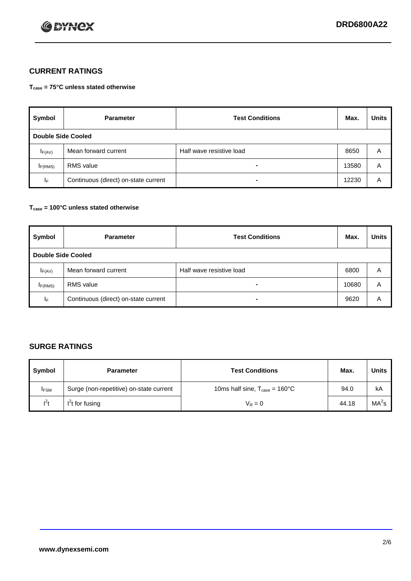

## **CURRENT RATINGS**

**Tcase = 75°C unless stated otherwise**

| Symbol             | <b>Parameter</b>                     | <b>Test Conditions</b>   | Max.  | <b>Units</b> |  |
|--------------------|--------------------------------------|--------------------------|-------|--------------|--|
| Double Side Cooled |                                      |                          |       |              |  |
| $I_{F(AV)}$        | Mean forward current                 | Half wave resistive load | 8650  | A            |  |
| IF(RMS)            | <b>RMS</b> value                     | $\blacksquare$           | 13580 | A            |  |
| IF.                | Continuous (direct) on-state current | -                        | 12230 | A            |  |

## **Tcase = 100°C unless stated otherwise**

| Symbol              | <b>Parameter</b>                     | <b>Test Conditions</b>   | Max.  | <b>Units</b> |  |  |
|---------------------|--------------------------------------|--------------------------|-------|--------------|--|--|
|                     | <b>Double Side Cooled</b>            |                          |       |              |  |  |
| $I_{F(AV)}$         | Mean forward current                 | Half wave resistive load | 6800  | Α            |  |  |
| I <sub>F(RMS)</sub> | <b>RMS</b> value                     | $\overline{\phantom{0}}$ | 10680 | A            |  |  |
| IF                  | Continuous (direct) on-state current | ۰                        | 9620  | A            |  |  |

## **SURGE RATINGS**

| Symbol      | <b>Parameter</b>                        | <b>Test Conditions</b>                            | Max.  | <b>Units</b>      |
|-------------|-----------------------------------------|---------------------------------------------------|-------|-------------------|
| <b>IFSM</b> | Surge (non-repetitive) on-state current | 10ms half sine, $T_{\text{case}} = 160^{\circ}$ C | 94.0  | kA                |
| $l^2t$      | I <sup>'</sup> t for fusing             | $V_R = 0$                                         | 44.18 | MA <sup>2</sup> s |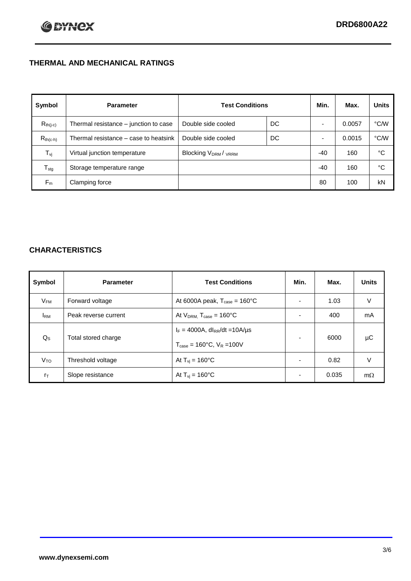## **THERMAL AND MECHANICAL RATINGS**

| Symbol           | <b>Parameter</b>                      | <b>Test Conditions</b>                      |    | Min.  | Max.   | <b>Units</b> |
|------------------|---------------------------------------|---------------------------------------------|----|-------|--------|--------------|
| $R_{th(j-c)}$    | Thermal resistance - junction to case | Double side cooled                          | DC |       | 0.0057 | °C/W         |
| $R_{th(c-h)}$    | Thermal resistance – case to heatsink | Double side cooled                          | DC |       | 0.0015 | °C/W         |
| $T_{\rm vj}$     | Virtual junction temperature          | Blocking V <sub>DRM</sub> / <sub>VRRM</sub> |    | $-40$ | 160    | °C           |
| $T_{\text{stg}}$ | Storage temperature range             |                                             |    | $-40$ | 160    | °C           |
| $F_m$            | Clamping force                        |                                             |    | 80    | 100    | kN           |

## **CHARACTERISTICS**

| Symbol                   | <b>Parameter</b>     | <b>Test Conditions</b>                                                                           | Min.           | Max.  | <b>Units</b> |
|--------------------------|----------------------|--------------------------------------------------------------------------------------------------|----------------|-------|--------------|
| $\mathsf{V}_\mathsf{FM}$ | Forward voltage      | At 6000A peak, $T_{\text{case}} = 160^{\circ}C$                                                  |                | 1.03  | V            |
| <b>IRM</b>               | Peak reverse current | At $V_{DRM}$ , $T_{case} = 160^{\circ}C$                                                         | ۰              | 400   | mA           |
| $Q_{\rm S}$              | Total stored charge  | $I_F = 4000A$ , dl <sub>RR</sub> /dt = 10A/us<br>$T_{\text{case}} = 160^{\circ}$ C. $V_R = 100V$ | ۰              | 6000  | μC           |
| V <sub>TO</sub>          | Threshold voltage    | At $T_{vi}$ = 160 $^{\circ}$ C                                                                   | $\blacksquare$ | 0.82  | V            |
| $r_{\text{T}}$           | Slope resistance     | At $T_{vi} = 160^{\circ}$ C                                                                      | ۰              | 0.035 | $m\Omega$    |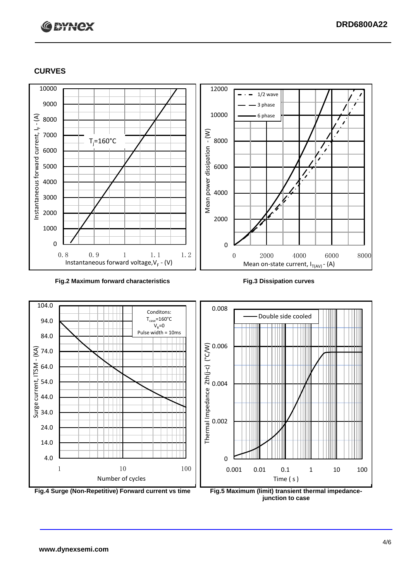# **C BYNCX**

## **CURVES**



### **Fig.2 Maximum forward characteristics Fig.3 Dissipation curves**



**junction to case**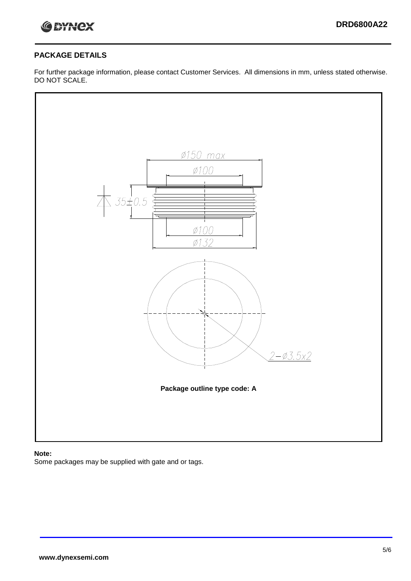

## **PACKAGE DETAILS**

For further package information, please contact Customer Services. All dimensions in mm, unless stated otherwise. DO NOT SCALE.



## **Note:**

Some packages may be supplied with gate and or tags.